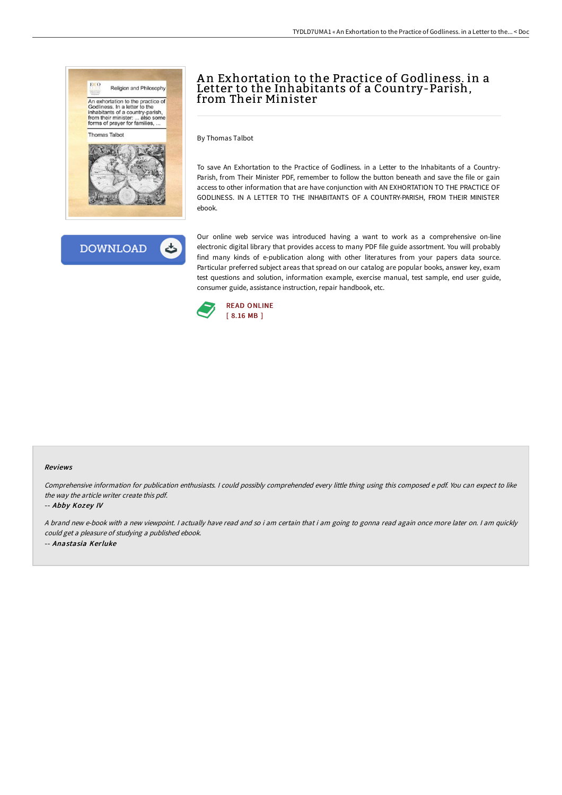



# An Exhortation to the Practice of Godliness, in a Letter to the Inhabitants of a Country-Parish, from Their Minister

By Thomas Talbot

To save An Exhortation to the Practice of Godliness. in a Letter to the Inhabitants of a Country-Parish, from Their Minister PDF, remember to follow the button beneath and save the file or gain access to other information that are have conjunction with AN EXHORTATION TO THE PRACTICE OF GODLINESS. IN A LETTER TO THE INHABITANTS OF A COUNTRY-PARISH, FROM THEIR MINISTER ebook.

Our online web service was introduced having a want to work as a comprehensive on-line electronic digital library that provides access to many PDF file guide assortment. You will probably find many kinds of e-publication along with other literatures from your papers data source. Particular preferred subject areas that spread on our catalog are popular books, answer key, exam test questions and solution, information example, exercise manual, test sample, end user guide, consumer guide, assistance instruction, repair handbook, etc.



#### Reviews

Comprehensive information for publication enthusiasts. <sup>I</sup> could possibly comprehended every little thing using this composed <sup>e</sup> pdf. You can expect to like the way the article writer create this pdf.

-- Abby Kozey IV

A brand new e-book with <sup>a</sup> new viewpoint. I actually have read and so i am certain that i am going to gonna read again once more later on. I am quickly could get <sup>a</sup> pleasure of studying <sup>a</sup> published ebook. -- Anastasia Kerluke